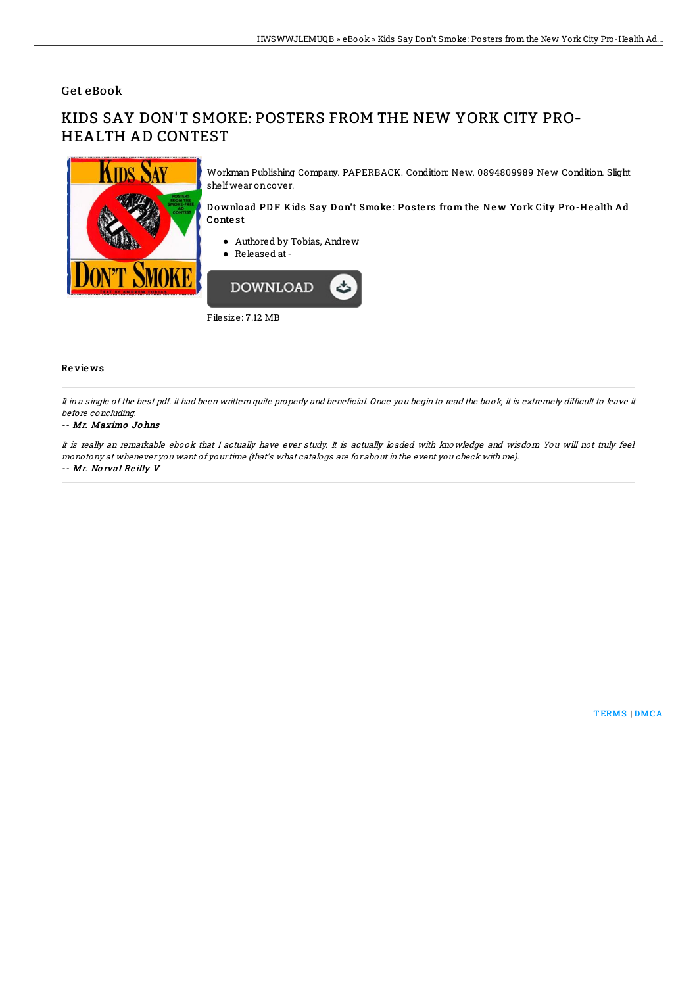## Get eBook

# KIDS SAY DON'T SMOKE: POSTERS FROM THE NEW YORK CITY PRO-HEALTH AD CONTEST



Workman Publishing Company. PAPERBACK. Condition: New. 0894809989 New Condition. Slight shelf wear oncover.

#### Download PDF Kids Say Don't Smoke: Posters from the New York City Pro-Health Ad Conte st

- Authored by Tobias, Andrew
- Released at -



Filesize: 7.12 MB

### Re vie ws

It in a single of the best pdf. it had been writtern quite properly and beneficial. Once you begin to read the book, it is extremely difficult to leave it before concluding.

#### -- Mr. Maximo Jo hns

It is really an remarkable ebook that I actually have ever study. It is actually loaded with knowledge and wisdom You will not truly feel monotony at whenever you want of your time (that's what catalogs are for about in the event you check with me). -- Mr. No rval Re illy V